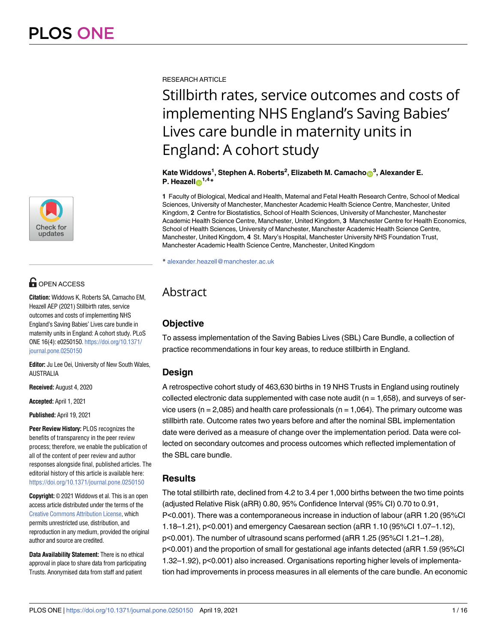

## **OPEN ACCESS**

**Citation:** Widdows K, Roberts SA, Camacho EM, Heazell AEP (2021) Stillbirth rates, service outcomes and costs of implementing NHS England's Saving Babies' Lives care bundle in maternity units in England: A cohort study. PLoS ONE 16(4): e0250150. [https://doi.org/10.1371/](https://doi.org/10.1371/journal.pone.0250150) [journal.pone.0250150](https://doi.org/10.1371/journal.pone.0250150)

**Editor:** Ju Lee Oei, University of New South Wales, AUSTRALIA

**Received:** August 4, 2020

**Accepted:** April 1, 2021

**Published:** April 19, 2021

**Peer Review History:** PLOS recognizes the benefits of transparency in the peer review process; therefore, we enable the publication of all of the content of peer review and author responses alongside final, published articles. The editorial history of this article is available here: <https://doi.org/10.1371/journal.pone.0250150>

**Copyright:** © 2021 Widdows et al. This is an open access article distributed under the terms of the [Creative Commons Attribution License,](http://creativecommons.org/licenses/by/4.0/) which permits unrestricted use, distribution, and reproduction in any medium, provided the original author and source are credited.

**Data Availability Statement:** There is no ethical approval in place to share data from participating Trusts. Anonymised data from staff and patient

RESEARCH ARTICLE

# Stillbirth rates, service outcomes and costs of implementing NHS England's Saving Babies' Lives care bundle in maternity units in England: A cohort study

#### **Kate Widdows<sup>1</sup> , Stephen A. Roberts<sup>2</sup> , Elizabeth M. Camacho[ID](https://orcid.org/0000-0001-9574-7710)<sup>3</sup> , Alexander E. P.** Heazell**o**<sup>1,4</sup>**\***

**1** Faculty of Biological, Medical and Health, Maternal and Fetal Health Research Centre, School of Medical Sciences, University of Manchester, Manchester Academic Health Science Centre, Manchester, United Kingdom, **2** Centre for Biostatistics, School of Health Sciences, University of Manchester, Manchester Academic Health Science Centre, Manchester, United Kingdom, **3** Manchester Centre for Health Economics, School of Health Sciences, University of Manchester, Manchester Academic Health Science Centre, Manchester, United Kingdom, **4** St. Mary's Hospital, Manchester University NHS Foundation Trust, Manchester Academic Health Science Centre, Manchester, United Kingdom

\* alexander.heazell@manchester.ac.uk

## Abstract

## **Objective**

To assess implementation of the Saving Babies Lives (SBL) Care Bundle, a collection of practice recommendations in four key areas, to reduce stillbirth in England.

## **Design**

A retrospective cohort study of 463,630 births in 19 NHS Trusts in England using routinely collected electronic data supplemented with case note audit ( $n = 1,658$ ), and surveys of service users ( $n = 2,085$ ) and health care professionals ( $n = 1,064$ ). The primary outcome was stillbirth rate. Outcome rates two years before and after the nominal SBL implementation date were derived as a measure of change over the implementation period. Data were collected on secondary outcomes and process outcomes which reflected implementation of the SBL care bundle.

## **Results**

The total stillbirth rate, declined from 4.2 to 3.4 per 1,000 births between the two time points (adjusted Relative Risk (aRR) 0.80, 95% Confidence Interval (95% CI) 0.70 to 0.91, P<0.001). There was a contemporaneous increase in induction of labour (aRR 1.20 (95%CI 1.18–1.21), p<0.001) and emergency Caesarean section (aRR 1.10 (95%CI 1.07–1.12), p<0.001). The number of ultrasound scans performed (aRR 1.25 (95%CI 1.21–1.28), p<0.001) and the proportion of small for gestational age infants detected (aRR 1.59 (95%CI 1.32–1.92), p<0.001) also increased. Organisations reporting higher levels of implementation had improvements in process measures in all elements of the care bundle. An economic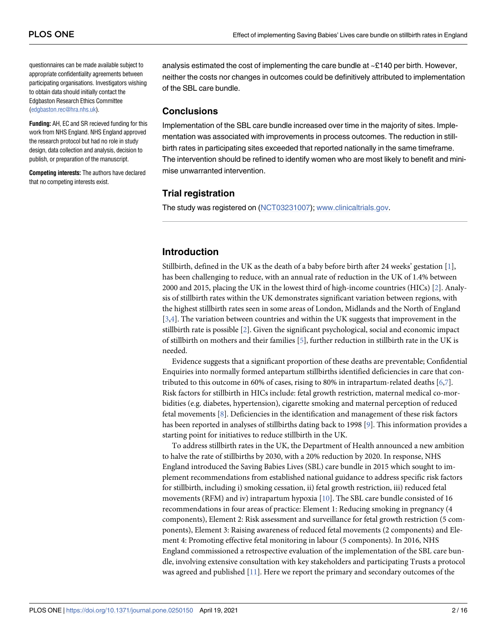<span id="page-1-0"></span>questionnaires can be made available subject to appropriate confidentiality agreements between participating organisations. Investigators wishing to obtain data should initially contact the Edgbaston Research Ethics Committee [\(edgbaston.rec@hra.nhs.uk](mailto:edgbaston.rec@hra.nhs.uk)).

**Funding:** AH, EC and SR recieved funding for this work from NHS England. NHS England approved the research protocol but had no role in study design, data collection and analysis, decision to publish, or preparation of the manuscript.

**Competing interests:** The authors have declared that no competing interests exist.

analysis estimated the cost of implementing the care bundle at  $\sim$ £140 per birth. However, neither the costs nor changes in outcomes could be definitively attributed to implementation of the SBL care bundle.

### **Conclusions**

Implementation of the SBL care bundle increased over time in the majority of sites. Implementation was associated with improvements in process outcomes. The reduction in stillbirth rates in participating sites exceeded that reported nationally in the same timeframe. The intervention should be refined to identify women who are most likely to benefit and minimise unwarranted intervention.

## **Trial registration**

The study was registered on [\(NCT03231007](https://clinicaltrials.gov/ct2/show/NCT03231007)); [www.clinicaltrials.gov.](http://www.clinicaltrials.gov/)

## **Introduction**

Stillbirth, defined in the UK as the death of a baby before birth after 24 weeks' gestation [\[1](#page-14-0)], has been challenging to reduce, with an annual rate of reduction in the UK of 1.4% between 2000 and 2015, placing the UK in the lowest third of high-income countries (HICs) [[2](#page-14-0)]. Analysis of stillbirth rates within the UK demonstrates significant variation between regions, with the highest stillbirth rates seen in some areas of London, Midlands and the North of England  $[3,4]$  $[3,4]$ . The variation between countries and within the UK suggests that improvement in the stillbirth rate is possible [[2](#page-14-0)]. Given the significant psychological, social and economic impact of stillbirth on mothers and their families [\[5](#page-14-0)], further reduction in stillbirth rate in the UK is needed.

Evidence suggests that a significant proportion of these deaths are preventable; Confidential Enquiries into normally formed antepartum stillbirths identified deficiencies in care that contributed to this outcome in 60% of cases, rising to 80% in intrapartum-related deaths  $[6,7]$  $[6,7]$ . Risk factors for stillbirth in HICs include: fetal growth restriction, maternal medical co-morbidities (e.g. diabetes, hypertension), cigarette smoking and maternal perception of reduced fetal movements  $[8]$  $[8]$ . Deficiencies in the identification and management of these risk factors has been reported in analyses of stillbirths dating back to 1998 [[9](#page-14-0)]. This information provides a starting point for initiatives to reduce stillbirth in the UK.

To address stillbirth rates in the UK, the Department of Health announced a new ambition to halve the rate of stillbirths by 2030, with a 20% reduction by 2020. In response, NHS England introduced the Saving Babies Lives (SBL) care bundle in 2015 which sought to implement recommendations from established national guidance to address specific risk factors for stillbirth, including i) smoking cessation, ii) fetal growth restriction, iii) reduced fetal movements (RFM) and iv) intrapartum hypoxia [[10](#page-14-0)]. The SBL care bundle consisted of 16 recommendations in four areas of practice: Element 1: Reducing smoking in pregnancy (4 components), Element 2: Risk assessment and surveillance for fetal growth restriction (5 components), Element 3: Raising awareness of reduced fetal movements (2 components) and Element 4: Promoting effective fetal monitoring in labour (5 components). In 2016, NHS England commissioned a retrospective evaluation of the implementation of the SBL care bundle, involving extensive consultation with key stakeholders and participating Trusts a protocol was agreed and published  $[11]$  $[11]$  $[11]$ . Here we report the primary and secondary outcomes of the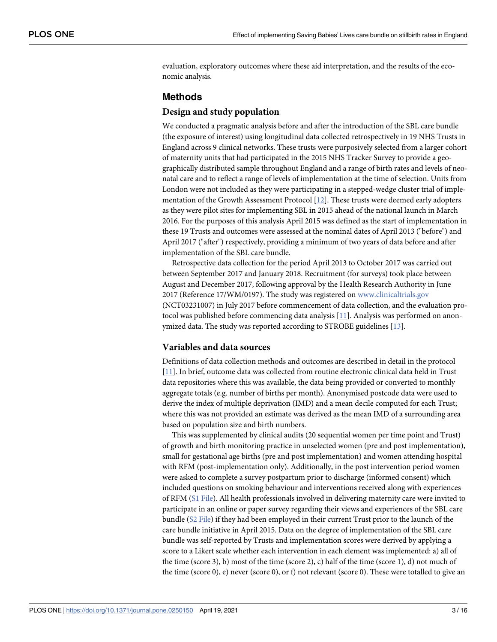<span id="page-2-0"></span>evaluation, exploratory outcomes where these aid interpretation, and the results of the economic analysis.

## **Methods**

#### **Design and study population**

We conducted a pragmatic analysis before and after the introduction of the SBL care bundle (the exposure of interest) using longitudinal data collected retrospectively in 19 NHS Trusts in England across 9 clinical networks. These trusts were purposively selected from a larger cohort of maternity units that had participated in the 2015 NHS Tracker Survey to provide a geographically distributed sample throughout England and a range of birth rates and levels of neonatal care and to reflect a range of levels of implementation at the time of selection. Units from London were not included as they were participating in a stepped-wedge cluster trial of implementation of the Growth Assessment Protocol [\[12\]](#page-14-0). These trusts were deemed early adopters as they were pilot sites for implementing SBL in 2015 ahead of the national launch in March 2016. For the purposes of this analysis April 2015 was defined as the start of implementation in these 19 Trusts and outcomes were assessed at the nominal dates of April 2013 ("before") and April 2017 ("after") respectively, providing a minimum of two years of data before and after implementation of the SBL care bundle.

Retrospective data collection for the period April 2013 to October 2017 was carried out between September 2017 and January 2018. Recruitment (for surveys) took place between August and December 2017, following approval by the Health Research Authority in June 2017 (Reference 17/WM/0197). The study was registered on [www.clinicaltrials.gov](http://www.clinicaltrials.gov/) (NCT03231007) in July 2017 before commencement of data collection, and the evaluation pro-tocol was published before commencing data analysis [\[11\]](#page-14-0). Analysis was performed on anonymized data. The study was reported according to STROBE guidelines [\[13\]](#page-14-0).

## **Variables and data sources**

Definitions of data collection methods and outcomes are described in detail in the protocol [\[11\]](#page-14-0). In brief, outcome data was collected from routine electronic clinical data held in Trust data repositories where this was available, the data being provided or converted to monthly aggregate totals (e.g. number of births per month). Anonymised postcode data were used to derive the index of multiple deprivation (IMD) and a mean decile computed for each Trust; where this was not provided an estimate was derived as the mean IMD of a surrounding area based on population size and birth numbers.

This was supplemented by clinical audits (20 sequential women per time point and Trust) of growth and birth monitoring practice in unselected women (pre and post implementation), small for gestational age births (pre and post implementation) and women attending hospital with RFM (post-implementation only). Additionally, in the post intervention period women were asked to complete a survey postpartum prior to discharge (informed consent) which included questions on smoking behaviour and interventions received along with experiences of RFM [\(S1 File\)](#page-13-0). All health professionals involved in delivering maternity care were invited to participate in an online or paper survey regarding their views and experiences of the SBL care bundle [\(S2 File\)](#page-13-0) if they had been employed in their current Trust prior to the launch of the care bundle initiative in April 2015. Data on the degree of implementation of the SBL care bundle was self-reported by Trusts and implementation scores were derived by applying a score to a Likert scale whether each intervention in each element was implemented: a) all of the time (score 3), b) most of the time (score 2), c) half of the time (score 1), d) not much of the time (score 0), e) never (score 0), or f) not relevant (score 0). These were totalled to give an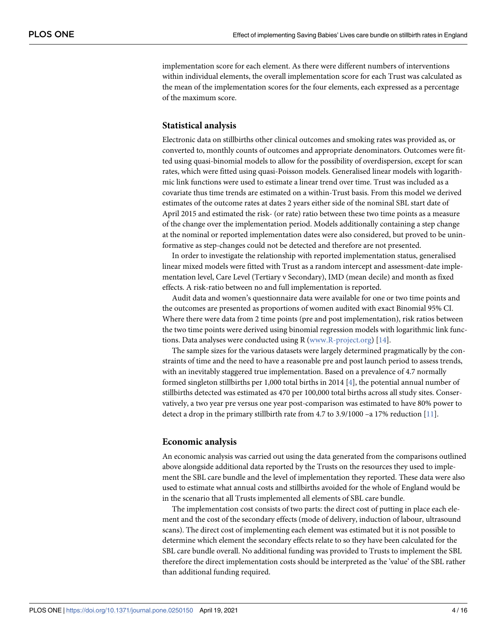<span id="page-3-0"></span>implementation score for each element. As there were different numbers of interventions within individual elements, the overall implementation score for each Trust was calculated as the mean of the implementation scores for the four elements, each expressed as a percentage of the maximum score.

#### **Statistical analysis**

Electronic data on stillbirths other clinical outcomes and smoking rates was provided as, or converted to, monthly counts of outcomes and appropriate denominators. Outcomes were fitted using quasi-binomial models to allow for the possibility of overdispersion, except for scan rates, which were fitted using quasi-Poisson models. Generalised linear models with logarithmic link functions were used to estimate a linear trend over time. Trust was included as a covariate thus time trends are estimated on a within-Trust basis. From this model we derived estimates of the outcome rates at dates 2 years either side of the nominal SBL start date of April 2015 and estimated the risk- (or rate) ratio between these two time points as a measure of the change over the implementation period. Models additionally containing a step change at the nominal or reported implementation dates were also considered, but proved to be uninformative as step-changes could not be detected and therefore are not presented.

In order to investigate the relationship with reported implementation status, generalised linear mixed models were fitted with Trust as a random intercept and assessment-date implementation level, Care Level (Tertiary v Secondary), IMD (mean decile) and month as fixed effects. A risk-ratio between no and full implementation is reported.

Audit data and women's questionnaire data were available for one or two time points and the outcomes are presented as proportions of women audited with exact Binomial 95% CI. Where there were data from 2 time points (pre and post implementation), risk ratios between the two time points were derived using binomial regression models with logarithmic link functions. Data analyses were conducted using R ([www.R-project.org\)](http://www.r-project.org/) [[14](#page-14-0)].

The sample sizes for the various datasets were largely determined pragmatically by the constraints of time and the need to have a reasonable pre and post launch period to assess trends, with an inevitably staggered true implementation. Based on a prevalence of 4.7 normally formed singleton stillbirths per 1,000 total births in 2014 [[4](#page-14-0)], the potential annual number of stillbirths detected was estimated as 470 per 100,000 total births across all study sites. Conservatively, a two year pre versus one year post-comparison was estimated to have 80% power to detect a drop in the primary stillbirth rate from 4.7 to 3.9/1000 –a 17% reduction  $[11]$ .

#### **Economic analysis**

An economic analysis was carried out using the data generated from the comparisons outlined above alongside additional data reported by the Trusts on the resources they used to implement the SBL care bundle and the level of implementation they reported. These data were also used to estimate what annual costs and stillbirths avoided for the whole of England would be in the scenario that all Trusts implemented all elements of SBL care bundle.

The implementation cost consists of two parts: the direct cost of putting in place each element and the cost of the secondary effects (mode of delivery, induction of labour, ultrasound scans). The direct cost of implementing each element was estimated but it is not possible to determine which element the secondary effects relate to so they have been calculated for the SBL care bundle overall. No additional funding was provided to Trusts to implement the SBL therefore the direct implementation costs should be interpreted as the 'value' of the SBL rather than additional funding required.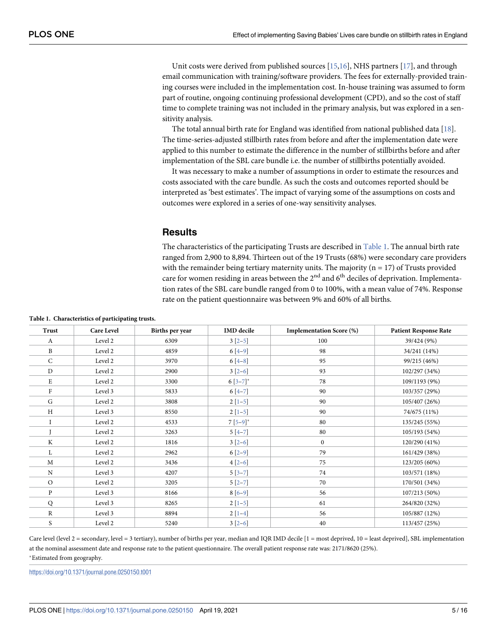<span id="page-4-0"></span>Unit costs were derived from published sources  $[15,16]$ , NHS partners  $[17]$ , and through email communication with training/software providers. The fees for externally-provided training courses were included in the implementation cost. In-house training was assumed to form part of routine, ongoing continuing professional development (CPD), and so the cost of staff time to complete training was not included in the primary analysis, but was explored in a sensitivity analysis.

The total annual birth rate for England was identified from national published data [[18](#page-14-0)]. The time-series-adjusted stillbirth rates from before and after the implementation date were applied to this number to estimate the difference in the number of stillbirths before and after implementation of the SBL care bundle i.e. the number of stillbirths potentially avoided.

It was necessary to make a number of assumptions in order to estimate the resources and costs associated with the care bundle. As such the costs and outcomes reported should be interpreted as 'best estimates'. The impact of varying some of the assumptions on costs and outcomes were explored in a series of one-way sensitivity analyses.

## **Results**

The characteristics of the participating Trusts are described in Table 1. The annual birth rate ranged from 2,900 to 8,894. Thirteen out of the 19 Trusts (68%) were secondary care providers with the remainder being tertiary maternity units. The majority  $(n = 17)$  of Trusts provided care for women residing in areas between the  $2<sup>nd</sup>$  and  $6<sup>th</sup>$  deciles of deprivation. Implementation rates of the SBL care bundle ranged from 0 to 100%, with a mean value of 74%. Response rate on the patient questionnaire was between 9% and 60% of all births.

| Trust        | <b>Care Level</b> | Births per year | <b>IMD</b> decile | <b>Implementation Score (%)</b> | <b>Patient Response Rate</b> |
|--------------|-------------------|-----------------|-------------------|---------------------------------|------------------------------|
| A            | Level 2           | 6309            | $3[2-5]$          | 100                             | 39/424 (9%)                  |
| B            | Level 2           | 4859            | $6[4-9]$          | 98                              | 34/241 (14%)                 |
| $\mathsf{C}$ | Level 2           | 3970            | $6[4-8]$          | 95                              | 99/215 (46%)                 |
| $\mathbf{D}$ | Level 2           | 2900            | $3[2-6]$          | 93                              | 102/297 (34%)                |
| E            | Level 2           | 3300            | $6[3-7]^*$        | 78                              | 109/1193 (9%)                |
| F            | Level 3           | 5833            | $6[4-7]$          | 90                              | 103/357 (29%)                |
| G            | Level 2           | 3808            | $2[1-5]$          | 90                              | 105/407 (26%)                |
| H            | Level 3           | 8550            | $2[1-5]$          | 90                              | 74/675 (11%)                 |
|              | Level 2           | 4533            | $7[5-9]$ *        | 80                              | 135/245 (55%)                |
|              | Level 2           | 3263            | $5[4-7]$          | 80                              | 105/193 (54%)                |
| K            | Level 2           | 1816            | $3[2-6]$          | $\boldsymbol{0}$                | 120/290 (41%)                |
| L            | Level 2           | 2962            | $6[2-9]$          | 79                              | 161/429 (38%)                |
| M            | Level 2           | 3436            | $4[2-6]$          | 75                              | 123/205 (60%)                |
| N            | Level 3           | 4207            | $5[3-7]$          | 74                              | 103/571 (18%)                |
| $\circ$      | Level 2           | 3205            | $5[2-7]$          | 70                              | 170/501 (34%)                |
| P            | Level 3           | 8166            | $8[6-9]$          | 56                              | 107/213 (50%)                |
| $\mathsf Q$  | Level 3           | 8265            | $2[1-5]$          | 61                              | 264/820 (32%)                |
| $\mathbb{R}$ | Level 3           | 8894            | $2[1-4]$          | 56                              | 105/887 (12%)                |
| S            | Level 2           | 5240            | $3[2-6]$          | 40                              | 113/457 (25%)                |

Care level (level 2 = secondary, level = 3 tertiary), number of births per year, median and IQR IMD decile [1 = most deprived, 10 = least deprived], SBL implementation at the nominal assessment date and response rate to the patient questionnaire. The overall patient response rate was: 2171/8620 (25%).

�Estimated from geography.

<https://doi.org/10.1371/journal.pone.0250150.t001>

**Table 1. Characteristics of participating trusts.**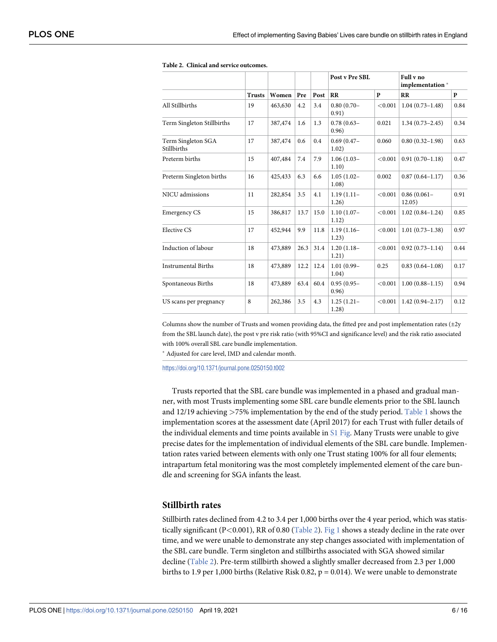|                                   |               |         |      |      | Post v Pre SBL         |              | Full v no<br>implementation* |      |
|-----------------------------------|---------------|---------|------|------|------------------------|--------------|------------------------------|------|
|                                   | <b>Trusts</b> | Women   | Pre  | Post | RR                     | $\mathbf{p}$ | $_{RR}$                      | P    |
| All Stillbirths                   | 19            | 463,630 | 4.2  | 3.4  | $0.80(0.70 -$<br>0.91) | < 0.001      | $1.04(0.73 - 1.48)$          | 0.84 |
| Term Singleton Stillbirths        | 17            | 387,474 | 1.6  | 1.3  | $0.78(0.63 -$<br>0.96) | 0.021        | $1.34(0.73 - 2.45)$          | 0.34 |
| Term Singleton SGA<br>Stillbirths | 17            | 387,474 | 0.6  | 0.4  | $0.69(0.47 -$<br>1.02) | 0.060        | $0.80(0.32 - 1.98)$          | 0.63 |
| Preterm births                    | 15            | 407,484 | 7.4  | 7.9  | $1.06(1.03 -$<br>1.10) | < 0.001      | $0.91(0.70-1.18)$            | 0.47 |
| Preterm Singleton births          | 16            | 425,433 | 6.3  | 6.6  | $1.05(1.02 -$<br>1.08) | 0.002        | $0.87(0.64 - 1.17)$          | 0.36 |
| NICU admissions                   | 11            | 282,854 | 3.5  | 4.1  | $1.19(1.11 -$<br>1.26) | < 0.001      | $0.86(0.061 -$<br>12.05)     | 0.91 |
| <b>Emergency CS</b>               | 15            | 386,817 | 13.7 | 15.0 | $1.10(1.07 -$<br>1.12) | < 0.001      | $1.02(0.84 - 1.24)$          | 0.85 |
| Elective CS                       | 17            | 452,944 | 9.9  | 11.8 | $1.19(1.16-$<br>1.23)  | < 0.001      | $1.01(0.73 - 1.38)$          | 0.97 |
| Induction of labour               | 18            | 473,889 | 26.3 | 31.4 | $1.20(1.18 -$<br>1.21) | < 0.001      | $0.92(0.73 - 1.14)$          | 0.44 |
| <b>Instrumental Births</b>        | 18            | 473,889 | 12.2 | 12.4 | $1.01(0.99 -$<br>1.04) | 0.25         | $0.83(0.64 - 1.08)$          | 0.17 |
| Spontaneous Births                | 18            | 473,889 | 63.4 | 60.4 | $0.95(0.95 -$<br>0.96) | < 0.001      | $1.00(0.88 - 1.15)$          | 0.94 |
| US scans per pregnancy            | 8             | 262,386 | 3.5  | 4.3  | $1.25(1.21 -$<br>1.28) | < 0.001      | $1.42(0.94 - 2.17)$          | 0.12 |

#### <span id="page-5-0"></span>**Table 2. Clinical and service outcomes.**

Columns show the number of Trusts and women providing data, the fitted pre and post implementation rates ( $\pm 2y$ from the SBL launch date), the post v pre risk ratio (with 95%CI and significance level) and the risk ratio associated with 100% overall SBL care bundle implementation.

� Adjusted for care level, IMD and calendar month.

<https://doi.org/10.1371/journal.pone.0250150.t002>

Trusts reported that the SBL care bundle was implemented in a phased and gradual manner, with most Trusts implementing some SBL care bundle elements prior to the SBL launch and 12/19 achieving *>*75% implementation by the end of the study period. [Table 1](#page-4-0) shows the implementation scores at the assessment date (April 2017) for each Trust with fuller details of the individual elements and time points available in  $S1$  Fig. Many Trusts were unable to give precise dates for the implementation of individual elements of the SBL care bundle. Implementation rates varied between elements with only one Trust stating 100% for all four elements; intrapartum fetal monitoring was the most completely implemented element of the care bundle and screening for SGA infants the least.

#### **Stillbirth rates**

Stillbirth rates declined from 4.2 to 3.4 per 1,000 births over the 4 year period, which was statistically significant (P*<*0.001), RR of 0.80 (Table 2). [Fig 1](#page-6-0) shows a steady decline in the rate over time, and we were unable to demonstrate any step changes associated with implementation of the SBL care bundle. Term singleton and stillbirths associated with SGA showed similar decline (Table 2). Pre-term stillbirth showed a slightly smaller decreased from 2.3 per 1,000 births to 1.9 per 1,000 births (Relative Risk 0.82,  $p = 0.014$ ). We were unable to demonstrate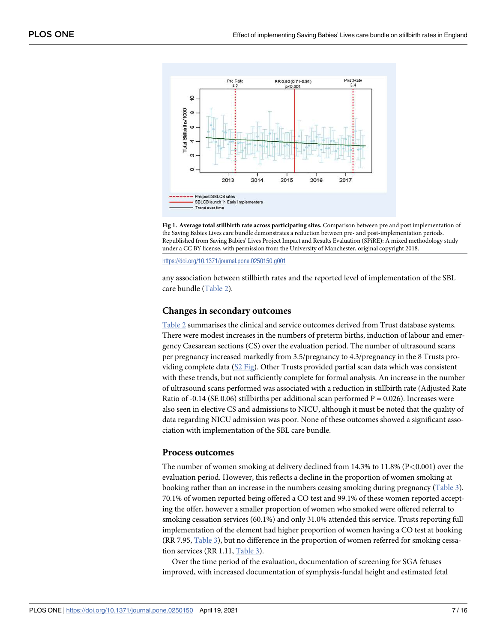<span id="page-6-0"></span>

**[Fig 1. A](#page-5-0)verage total stillbirth rate across participating sites.** Comparison between pre and post implementation of the Saving Babies Lives care bundle demonstrates a reduction between pre- and post-implementation periods. Republished from Saving Babies' Lives Project Impact and Results Evaluation (SPiRE): A mixed methodology study under a CC BY license, with permission from the University of Manchester, original copyright 2018.

<https://doi.org/10.1371/journal.pone.0250150.g001>

any association between stillbirth rates and the reported level of implementation of the SBL care bundle [\(Table 2](#page-5-0)).

#### **Changes in secondary outcomes**

[Table 2](#page-5-0) summarises the clinical and service outcomes derived from Trust database systems. There were modest increases in the numbers of preterm births, induction of labour and emergency Caesarean sections (CS) over the evaluation period. The number of ultrasound scans per pregnancy increased markedly from 3.5/pregnancy to 4.3/pregnancy in the 8 Trusts providing complete data ([S2 Fig](#page-13-0)). Other Trusts provided partial scan data which was consistent with these trends, but not sufficiently complete for formal analysis. An increase in the number of ultrasound scans performed was associated with a reduction in stillbirth rate (Adjusted Rate Ratio of -0.14 (SE 0.06) stillbirths per additional scan performed  $P = 0.026$ ). Increases were also seen in elective CS and admissions to NICU, although it must be noted that the quality of data regarding NICU admission was poor. None of these outcomes showed a significant association with implementation of the SBL care bundle.

#### **Process outcomes**

The number of women smoking at delivery declined from 14.3% to 11.8% (P*<*0.001) over the evaluation period. However, this reflects a decline in the proportion of women smoking at booking rather than an increase in the numbers ceasing smoking during pregnancy ([Table 3\)](#page-7-0). 70.1% of women reported being offered a CO test and 99.1% of these women reported accepting the offer, however a smaller proportion of women who smoked were offered referral to smoking cessation services (60.1%) and only 31.0% attended this service. Trusts reporting full implementation of the element had higher proportion of women having a CO test at booking (RR 7.95, [Table 3](#page-7-0)), but no difference in the proportion of women referred for smoking cessation services (RR 1.11, [Table 3\)](#page-7-0).

Over the time period of the evaluation, documentation of screening for SGA fetuses improved, with increased documentation of symphysis-fundal height and estimated fetal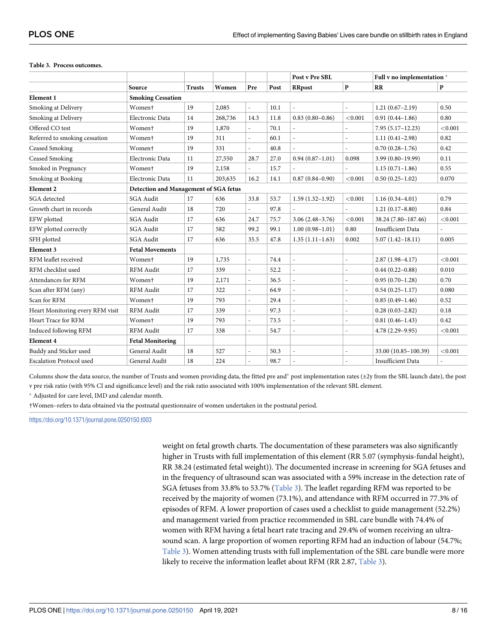#### <span id="page-7-0"></span>**[Table 3.](#page-6-0) Process outcomes.**

|                                  |                                       |               |         |                |      | Post v Pre SBL           |                          | Full v no implementation * |         |
|----------------------------------|---------------------------------------|---------------|---------|----------------|------|--------------------------|--------------------------|----------------------------|---------|
|                                  | Source                                | <b>Trusts</b> | Women   | Pre            | Post | <b>RRpost</b>            | $\mathbf{P}$             | RR                         | P       |
| <b>Element 1</b>                 | <b>Smoking Cessation</b>              |               |         |                |      |                          |                          |                            |         |
| Smoking at Delivery              | Women <sup>+</sup>                    | 19            | 2,085   |                | 10.1 |                          |                          | $1.21(0.67 - 2.19)$        | 0.50    |
| Smoking at Delivery              | Electronic Data                       | 14            | 268,736 | 14.3           | 11.8 | $0.83(0.80 - 0.86)$      | < 0.001                  | $0.91(0.44 - 1.86)$        | 0.80    |
| Offered CO test                  | Women <sup>+</sup>                    | 19            | 1,870   |                | 70.1 |                          |                          | $7.95(5.17 - 12.23)$       | < 0.001 |
| Referred to smoking cessation    | Women <sup>+</sup>                    | 19            | 311     |                | 60.1 |                          |                          | $1.11(0.41 - 2.98)$        | 0.82    |
| Ceased Smoking                   | Women <sup>+</sup>                    | 19            | 331     |                | 40.8 |                          | $\overline{a}$           | $0.70(0.28 - 1.76)$        | 0.42    |
| <b>Ceased Smoking</b>            | Electronic Data                       | 11            | 27,550  | 28.7           | 27.0 | $0.94(0.87 - 1.01)$      | 0.098                    | $3.99(0.80 - 19.99)$       | 0.11    |
| Smoked in Pregnancy              | Women <sup>+</sup>                    | 19            | 2,158   | $\overline{a}$ | 15.7 |                          |                          | $1.15(0.71-1.86)$          | 0.55    |
| Smoking at Booking               | Electronic Data                       | 11            | 203,635 | 16.2           | 14.1 | $0.87(0.84 - 0.90)$      | < 0.001                  | $0.50(0.25-1.02)$          | 0.070   |
| Element 2                        | Detection and Management of SGA fetus |               |         |                |      |                          |                          |                            |         |
| SGA detected                     | <b>SGA Audit</b>                      | 17            | 636     | 33.8           | 53.7 | $1.59(1.32 - 1.92)$      | < 0.001                  | $1.16(0.34 - 4.01)$        | 0.79    |
| Growth chart in records          | General Audit                         | 18            | 720     |                | 97.8 |                          |                          | $1.21(0.17 - 8.80)$        | 0.84    |
| EFW plotted                      | <b>SGA Audit</b>                      | 17            | 636     | 24.7           | 75.7 | $3.06(2.48-3.76)$        | < 0.001                  | 38.24 (7.80-187.46)        | < 0.001 |
| EFW plotted correctly            | SGA Audit                             | 17            | 582     | 99.2           | 99.1 | $1.00(0.98 - 1.01)$      | 0.80                     | <b>Insufficient Data</b>   |         |
| SFH plotted                      | <b>SGA Audit</b>                      | 17            | 636     | 35.5           | 47.8 | $1.35(1.11-1.63)$        | 0.002                    | $5.07(1.42 - 18.11)$       | 0.005   |
| Element 3                        | <b>Fetal Movements</b>                |               |         |                |      |                          |                          |                            |         |
| RFM leaflet received             | Women <sup>+</sup>                    | 19            | 1,735   |                | 74.4 |                          | $\overline{a}$           | $2.87(1.98-4.17)$          | < 0.001 |
| RFM checklist used               | <b>RFM</b> Audit                      | 17            | 339     | $\overline{a}$ | 52.2 | $\overline{\phantom{a}}$ | $\overline{\phantom{a}}$ | $0.44(0.22 - 0.88)$        | 0.010   |
| Attendances for RFM              | Women <sup>+</sup>                    | 19            | 2,171   |                | 36.5 |                          | L,                       | $0.95(0.70-1.28)$          | 0.70    |
| Scan after RFM (any)             | <b>RFM</b> Audit                      | 17            | 322     |                | 64.9 |                          |                          | $0.54(0.25 - 1.17)$        | 0.080   |
| Scan for RFM                     | Women <sup>+</sup>                    | 19            | 793     |                | 29.4 | $\overline{\phantom{a}}$ | $\frac{1}{2}$            | $0.85(0.49-1.46)$          | 0.52    |
| Heart Monitoring every RFM visit | <b>RFM</b> Audit                      | 17            | 339     |                | 97.3 |                          | $\overline{a}$           | $0.28(0.03 - 2.82)$        | 0.18    |
| Heart Trace for RFM              | Women <sup>+</sup>                    | 19            | 793     | L,             | 73.5 | $\overline{\phantom{a}}$ | $\overline{\phantom{a}}$ | $0.81(0.46 - 1.43)$        | 0.42    |
| Induced following RFM            | <b>RFM</b> Audit                      | 17            | 338     |                | 54.7 |                          | $\overline{a}$           | $4.78(2.29 - 9.95)$        | < 0.001 |
| Element 4                        | <b>Fetal Monitoring</b>               |               |         |                |      |                          |                          |                            |         |
| Buddy and Sticker used           | General Audit                         | 18            | 527     |                | 50.3 |                          | $\overline{\phantom{m}}$ | 33.00 (10.85-100.39)       | < 0.001 |
| <b>Escalation Protocol used</b>  | General Audit                         | 18            | 224     |                | 98.7 |                          |                          | <b>Insufficient Data</b>   |         |

Columns show the data source, the number of Trusts and women providing data, the fitted pre and\* post implementation rates ( $\pm 2y$  from the SBL launch date), the post v pre risk ratio (with 95% CI and significance level) and the risk ratio associated with 100% implementation of the relevant SBL element.

� Adjusted for care level, IMD and calendar month.

†Women–refers to data obtained via the postnatal questionnaire of women undertaken in the postnatal period.

<https://doi.org/10.1371/journal.pone.0250150.t003>

weight on fetal growth charts. The documentation of these parameters was also significantly higher in Trusts with full implementation of this element (RR 5.07 (symphysis-fundal height), RR 38.24 (estimated fetal weight)). The documented increase in screening for SGA fetuses and in the frequency of ultrasound scan was associated with a 59% increase in the detection rate of SGA fetuses from 33.8% to 53.7% (Table 3). The leaflet regarding RFM was reported to be received by the majority of women (73.1%), and attendance with RFM occurred in 77.3% of episodes of RFM. A lower proportion of cases used a checklist to guide management (52.2%) and management varied from practice recommended in SBL care bundle with 74.4% of women with RFM having a fetal heart rate tracing and 29.4% of women receiving an ultrasound scan. A large proportion of women reporting RFM had an induction of labour (54.7%; Table 3). Women attending trusts with full implementation of the SBL care bundle were more likely to receive the information leaflet about RFM (RR 2.87, Table 3).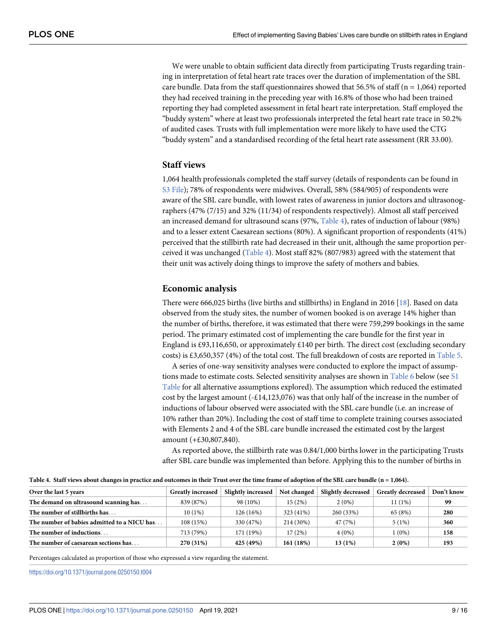<span id="page-8-0"></span>We were unable to obtain sufficient data directly from participating Trusts regarding training in interpretation of fetal heart rate traces over the duration of implementation of the SBL care bundle. Data from the staff questionnaires showed that 56.5% of staff ( $n = 1,064$ ) reported they had received training in the preceding year with 16.8% of those who had been trained reporting they had completed assessment in fetal heart rate interpretation. Staff employed the "buddy system" where at least two professionals interpreted the fetal heart rate trace in 50.2% of audited cases. Trusts with full implementation were more likely to have used the CTG "buddy system" and a standardised recording of the fetal heart rate assessment (RR 33.00).

### **Staff views**

1,064 health professionals completed the staff survey (details of respondents can be found in [S3 File](#page-13-0)); 78% of respondents were midwives. Overall, 58% (584/905) of respondents were aware of the SBL care bundle, with lowest rates of awareness in junior doctors and ultrasonographers (47% (7/15) and 32% (11/34) of respondents respectively). Almost all staff perceived an increased demand for ultrasound scans (97%, Table 4), rates of induction of labour (98%) and to a lesser extent Caesarean sections (80%). A significant proportion of respondents (41%) perceived that the stillbirth rate had decreased in their unit, although the same proportion perceived it was unchanged  $(Table 4)$ . Most staff 82% (807/983) agreed with the statement that their unit was actively doing things to improve the safety of mothers and babies.

#### **Economic analysis**

There were 666,025 births (live births and stillbirths) in England in 2016 [[18](#page-14-0)]. Based on data observed from the study sites, the number of women booked is on average 14% higher than the number of births, therefore, it was estimated that there were 759,299 bookings in the same period. The primary estimated cost of implementing the care bundle for the first year in England is £93,116,650, or approximately £140 per birth. The direct cost (excluding secondary costs) is £3,650,357 (4%) of the total cost. The full breakdown of costs are reported in [Table 5.](#page-9-0)

A series of one-way sensitivity analyses were conducted to explore the impact of assumptions made to estimate costs. Selected sensitivity analyses are shown in Table  $6$  below (see  $51$ [Table](#page-13-0) for all alternative assumptions explored). The assumption which reduced the estimated cost by the largest amount  $(-\text{\textsterling}14,123,076)$  was that only half of the increase in the number of inductions of labour observed were associated with the SBL care bundle (i.e. an increase of 10% rather than 20%). Including the cost of staff time to complete training courses associated with Elements 2 and 4 of the SBL care bundle increased the estimated cost by the largest amount (+£30,807,840).

As reported above, the stillbirth rate was 0.84/1,000 births lower in the participating Trusts after SBL care bundle was implemented than before. Applying this to the number of births in

| Over the last 5 years                       | <b>Greatly increased</b> | Slightly increased | Not changed | Slightly decreased | <b>Greatly decreased</b> | Don't know |
|---------------------------------------------|--------------------------|--------------------|-------------|--------------------|--------------------------|------------|
| The demand on ultrasound scanning has       | 839 (87%)                | 98 (10%)           | 15(2%)      | $2(0\%)$           | 11 (1%)                  | 99         |
| The number of stillbirths has               | 10(1%)                   | 126 (16%)          | 323 (41%)   | 260 (33%)          | 65 (8%)                  | 280        |
| The number of babies admitted to a NICU has | 108 (15%)                | 330 (47%)          | 214 (30%)   | 47 (7%)            | 5(1%)                    | 360        |
| The number of inductions                    | 713 (79%)                | 171 (19%)          | 17(2%)      | 4(0%)              | 1(0%)                    | 158        |
| The number of caesarean sections has        | 270 (31%)                | 425 (49%)          | 161 (18%)   | 13 (1%)            | 2(0%)                    | 193        |

Table 4. Staff views about changes in practice and outcomes in their Trust over the time frame of adoption of the SBL care bundle (n = 1,064).

Percentages calculated as proportion of those who expressed a view regarding the statement.

<https://doi.org/10.1371/journal.pone.0250150.t004>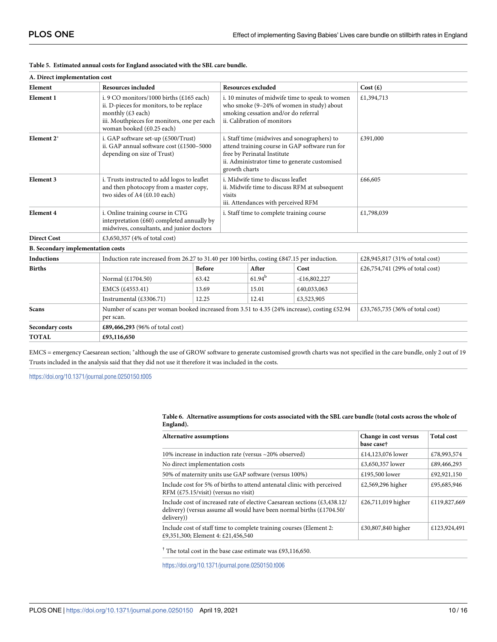| A. Direct implementation cost            |                                                                                                                                                                                                                              |               |  |                                                                           |                                                                                                                                                 |                                 |  |  |
|------------------------------------------|------------------------------------------------------------------------------------------------------------------------------------------------------------------------------------------------------------------------------|---------------|--|---------------------------------------------------------------------------|-------------------------------------------------------------------------------------------------------------------------------------------------|---------------------------------|--|--|
| Element                                  | <b>Resources included</b>                                                                                                                                                                                                    |               |  | <b>Resources excluded</b>                                                 |                                                                                                                                                 | Cost $(E)$                      |  |  |
| Element 1                                | i. 9 CO monitors/1000 births $(\text{\textsterling}165 \text{ each})$<br>ii. D-pieces for monitors, to be replace<br>monthly $(E3 \text{ each})$<br>iii. Mouthpieces for monitors, one per each<br>woman booked (£0.25 each) |               |  | smoking cessation and/or do referral<br>ii. Calibration of monitors       | i. 10 minutes of midwife time to speak to women<br>who smoke (9-24% of women in study) about                                                    | £1,394,713                      |  |  |
| Element 2*                               | i. GAP software set-up $(\text{\pounds}500/Trust)$<br>ii. GAP annual software cost (£1500-5000<br>depending on size of Trust)                                                                                                |               |  | free by Perinatal Institute<br>growth charts                              | i. Staff time (midwives and sonographers) to<br>attend training course in GAP software run for<br>ii. Administrator time to generate customised | £391,000                        |  |  |
| <b>Element 3</b>                         | i. Trusts instructed to add logos to leaflet<br>and then photocopy from a master copy,<br>two sides of A4 (£0.10 each)                                                                                                       |               |  | i. Midwife time to discuss leaflet<br>iii. Attendances with perceived RFM | ii. Midwife time to discuss RFM at subsequent                                                                                                   | £66,605                         |  |  |
| <b>Element 4</b>                         | i. Online training course in CTG<br>interpretation $(\text{\pounds}60)$ completed annually by<br>midwives, consultants, and junior doctors                                                                                   |               |  |                                                                           | i. Staff time to complete training course                                                                                                       | £1,798,039                      |  |  |
| <b>Direct Cost</b>                       | £3,650,357 (4% of total cost)                                                                                                                                                                                                |               |  |                                                                           |                                                                                                                                                 |                                 |  |  |
| <b>B.</b> Secondary implementation costs |                                                                                                                                                                                                                              |               |  |                                                                           |                                                                                                                                                 |                                 |  |  |
| <b>Inductions</b>                        | Induction rate increased from 26.27 to 31.40 per 100 births, costing £847.15 per induction.                                                                                                                                  |               |  |                                                                           |                                                                                                                                                 | £28,945,817 (31% of total cost) |  |  |
| <b>Births</b>                            |                                                                                                                                                                                                                              | <b>Before</b> |  | After                                                                     | Cost                                                                                                                                            | £26,754,741 (29% of total cost) |  |  |
|                                          | Normal (£1704.50)                                                                                                                                                                                                            | 63.42         |  | $61.94^{\rm b}$                                                           | $-£16,802,227$                                                                                                                                  |                                 |  |  |
|                                          | EMCS (£4553.41)                                                                                                                                                                                                              | 13.69         |  | 15.01                                                                     | £40,033,063                                                                                                                                     |                                 |  |  |
|                                          | Instrumental (£3306.71)                                                                                                                                                                                                      | 12.25         |  | 12.41                                                                     | £3,523,905                                                                                                                                      |                                 |  |  |
| <b>Scans</b>                             | Number of scans per woman booked increased from 3.51 to 4.35 (24% increase), costing £52.94<br>per scan.                                                                                                                     |               |  |                                                                           |                                                                                                                                                 | £33,765,735 (36% of total cost) |  |  |
| Secondary costs                          | £89,466,293 (96% of total cost)                                                                                                                                                                                              |               |  |                                                                           |                                                                                                                                                 |                                 |  |  |
| <b>TOTAL</b>                             | £93,116,650                                                                                                                                                                                                                  |               |  |                                                                           |                                                                                                                                                 |                                 |  |  |

#### <span id="page-9-0"></span>**[Table 5.](#page-8-0) Estimated annual costs for England associated with the SBL care bundle.**

EMCS = emergency Caesarean section; � although the use of GROW software to generate customised growth charts was not specified in the care bundle, only 2 out of 19 Trusts included in the analysis said that they did not use it therefore it was included in the costs.

<https://doi.org/10.1371/journal.pone.0250150.t005>

**[Table 6.](#page-8-0) Alternative assumptions for costs associated with the SBL care bundle (total costs across the whole of England).**

| Alternative assumptions                                                                                                                                                                               | Change in cost versus<br>base case† | <b>Total cost</b> |
|-------------------------------------------------------------------------------------------------------------------------------------------------------------------------------------------------------|-------------------------------------|-------------------|
| 10% increase in induction rate (versus ~20% observed)                                                                                                                                                 | £14,123,076 lower                   | £78,993,574       |
| No direct implementation costs                                                                                                                                                                        | £3,650,357 lower                    | £89,466,293       |
| 50% of maternity units use GAP software (versus 100%)                                                                                                                                                 | £195,500 lower                      | £92,921,150       |
| Include cost for 5% of births to attend antenatal clinic with perceived<br>RFM $(\text{\textsterling}75.15/\text{visit})$ (versus no visit)                                                           | £2,569,296 higher                   | £95,685,946       |
| Include cost of increased rate of elective Caesarean sections $(\text{\pounds}3, 438.12)$<br>delivery) (versus assume all would have been normal births $(\text{\textsterling}1704.50/$<br>delivery)) | £26,711,019 higher                  | £119,827,669      |
| Include cost of staff time to complete training courses (Element 2:<br>£9,351,300; Element 4: £21,456,540                                                                                             | £30,807,840 higher                  | £123,924,491      |

† The total cost in the base case estimate was £93,116,650.

<https://doi.org/10.1371/journal.pone.0250150.t006>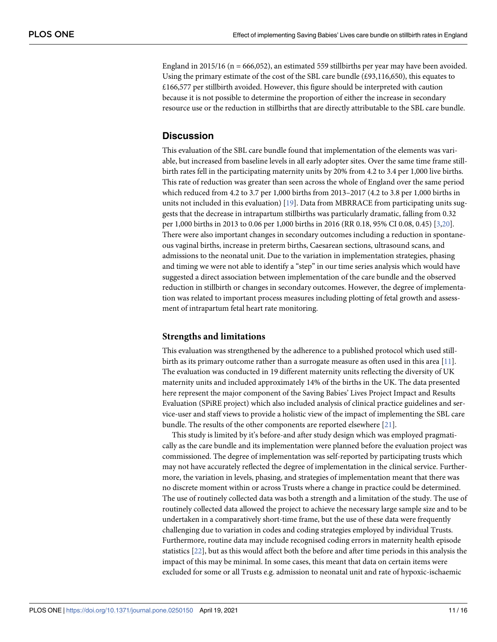<span id="page-10-0"></span>England in 2015/16 ( $n = 666,052$ ), an estimated 559 stillbirths per year may have been avoided. Using the primary estimate of the cost of the SBL care bundle (£93,116,650), this equates to £166,577 per stillbirth avoided. However, this figure should be interpreted with caution because it is not possible to determine the proportion of either the increase in secondary resource use or the reduction in stillbirths that are directly attributable to the SBL care bundle.

## **Discussion**

This evaluation of the SBL care bundle found that implementation of the elements was variable, but increased from baseline levels in all early adopter sites. Over the same time frame stillbirth rates fell in the participating maternity units by 20% from 4.2 to 3.4 per 1,000 live births. This rate of reduction was greater than seen across the whole of England over the same period which reduced from 4.2 to 3.7 per 1,000 births from 2013–2017 (4.2 to 3.8 per 1,000 births in units not included in this evaluation) [\[19\]](#page-14-0). Data from MBRRACE from participating units suggests that the decrease in intrapartum stillbirths was particularly dramatic, falling from 0.32 per 1,000 births in 2013 to 0.06 per 1,000 births in 2016 (RR 0.18, 95% CI 0.08, 0.45) [[3,](#page-14-0)[20](#page-15-0)]. There were also important changes in secondary outcomes including a reduction in spontaneous vaginal births, increase in preterm births, Caesarean sections, ultrasound scans, and admissions to the neonatal unit. Due to the variation in implementation strategies, phasing and timing we were not able to identify a "step" in our time series analysis which would have suggested a direct association between implementation of the care bundle and the observed reduction in stillbirth or changes in secondary outcomes. However, the degree of implementation was related to important process measures including plotting of fetal growth and assessment of intrapartum fetal heart rate monitoring.

## **Strengths and limitations**

This evaluation was strengthened by the adherence to a published protocol which used stillbirth as its primary outcome rather than a surrogate measure as often used in this area [\[11\]](#page-14-0). The evaluation was conducted in 19 different maternity units reflecting the diversity of UK maternity units and included approximately 14% of the births in the UK. The data presented here represent the major component of the Saving Babies' Lives Project Impact and Results Evaluation (SPiRE project) which also included analysis of clinical practice guidelines and service-user and staff views to provide a holistic view of the impact of implementing the SBL care bundle. The results of the other components are reported elsewhere [[21](#page-15-0)].

This study is limited by it's before-and after study design which was employed pragmatically as the care bundle and its implementation were planned before the evaluation project was commissioned. The degree of implementation was self-reported by participating trusts which may not have accurately reflected the degree of implementation in the clinical service. Furthermore, the variation in levels, phasing, and strategies of implementation meant that there was no discrete moment within or across Trusts where a change in practice could be determined. The use of routinely collected data was both a strength and a limitation of the study. The use of routinely collected data allowed the project to achieve the necessary large sample size and to be undertaken in a comparatively short-time frame, but the use of these data were frequently challenging due to variation in codes and coding strategies employed by individual Trusts. Furthermore, routine data may include recognised coding errors in maternity health episode statistics [\[22\]](#page-15-0), but as this would affect both the before and after time periods in this analysis the impact of this may be minimal. In some cases, this meant that data on certain items were excluded for some or all Trusts e.g. admission to neonatal unit and rate of hypoxic-ischaemic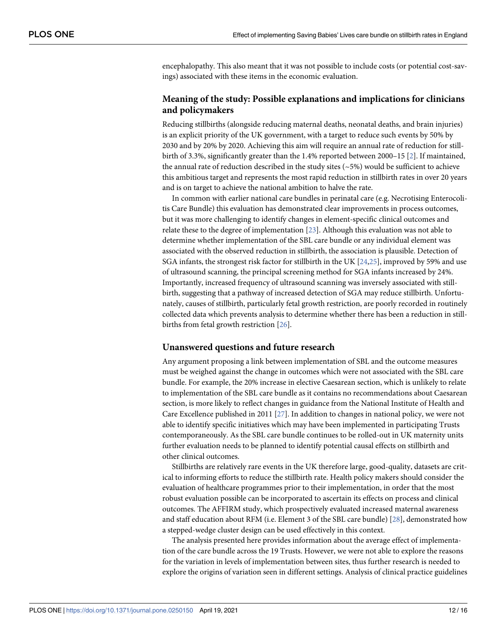<span id="page-11-0"></span>encephalopathy. This also meant that it was not possible to include costs (or potential cost-savings) associated with these items in the economic evaluation.

## **Meaning of the study: Possible explanations and implications for clinicians and policymakers**

Reducing stillbirths (alongside reducing maternal deaths, neonatal deaths, and brain injuries) is an explicit priority of the UK government, with a target to reduce such events by 50% by 2030 and by 20% by 2020. Achieving this aim will require an annual rate of reduction for stillbirth of 3.3%, significantly greater than the 1.4% reported between 2000–15 [[2](#page-14-0)]. If maintained, the annual rate of reduction described in the study sites  $(-5%)$  would be sufficient to achieve this ambitious target and represents the most rapid reduction in stillbirth rates in over 20 years and is on target to achieve the national ambition to halve the rate.

In common with earlier national care bundles in perinatal care (e.g. Necrotising Enterocolitis Care Bundle) this evaluation has demonstrated clear improvements in process outcomes, but it was more challenging to identify changes in element-specific clinical outcomes and relate these to the degree of implementation [\[23\]](#page-15-0). Although this evaluation was not able to determine whether implementation of the SBL care bundle or any individual element was associated with the observed reduction in stillbirth, the association is plausible. Detection of SGA infants, the strongest risk factor for stillbirth in the UK [\[24,25\]](#page-15-0), improved by 59% and use of ultrasound scanning, the principal screening method for SGA infants increased by 24%. Importantly, increased frequency of ultrasound scanning was inversely associated with stillbirth, suggesting that a pathway of increased detection of SGA may reduce stillbirth. Unfortunately, causes of stillbirth, particularly fetal growth restriction, are poorly recorded in routinely collected data which prevents analysis to determine whether there has been a reduction in still-births from fetal growth restriction [\[26\]](#page-15-0).

#### **Unanswered questions and future research**

Any argument proposing a link between implementation of SBL and the outcome measures must be weighed against the change in outcomes which were not associated with the SBL care bundle. For example, the 20% increase in elective Caesarean section, which is unlikely to relate to implementation of the SBL care bundle as it contains no recommendations about Caesarean section, is more likely to reflect changes in guidance from the National Institute of Health and Care Excellence published in 2011 [\[27\]](#page-15-0). In addition to changes in national policy, we were not able to identify specific initiatives which may have been implemented in participating Trusts contemporaneously. As the SBL care bundle continues to be rolled-out in UK maternity units further evaluation needs to be planned to identify potential causal effects on stillbirth and other clinical outcomes.

Stillbirths are relatively rare events in the UK therefore large, good-quality, datasets are critical to informing efforts to reduce the stillbirth rate. Health policy makers should consider the evaluation of healthcare programmes prior to their implementation, in order that the most robust evaluation possible can be incorporated to ascertain its effects on process and clinical outcomes. The AFFIRM study, which prospectively evaluated increased maternal awareness and staff education about RFM (i.e. Element 3 of the SBL care bundle) [\[28\]](#page-15-0), demonstrated how a stepped-wedge cluster design can be used effectively in this context.

The analysis presented here provides information about the average effect of implementation of the care bundle across the 19 Trusts. However, we were not able to explore the reasons for the variation in levels of implementation between sites, thus further research is needed to explore the origins of variation seen in different settings. Analysis of clinical practice guidelines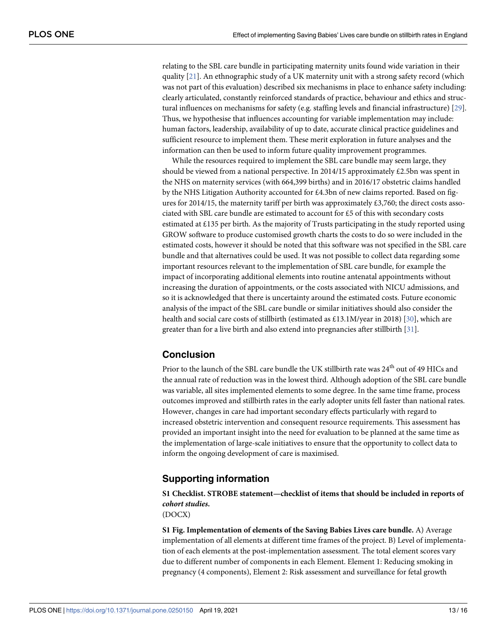<span id="page-12-0"></span>relating to the SBL care bundle in participating maternity units found wide variation in their quality [[21](#page-15-0)]. An ethnographic study of a UK maternity unit with a strong safety record (which was not part of this evaluation) described six mechanisms in place to enhance safety including: clearly articulated, constantly reinforced standards of practice, behaviour and ethics and structural influences on mechanisms for safety (e.g. staffing levels and financial infrastructure) [[29](#page-15-0)]. Thus, we hypothesise that influences accounting for variable implementation may include: human factors, leadership, availability of up to date, accurate clinical practice guidelines and sufficient resource to implement them. These merit exploration in future analyses and the information can then be used to inform future quality improvement programmes.

While the resources required to implement the SBL care bundle may seem large, they should be viewed from a national perspective. In 2014/15 approximately £2.5bn was spent in the NHS on maternity services (with 664,399 births) and in 2016/17 obstetric claims handled by the NHS Litigation Authority accounted for £4.3bn of new claims reported. Based on figures for 2014/15, the maternity tariff per birth was approximately £3,760; the direct costs associated with SBL care bundle are estimated to account for £5 of this with secondary costs estimated at £135 per birth. As the majority of Trusts participating in the study reported using GROW software to produce customised growth charts the costs to do so were included in the estimated costs, however it should be noted that this software was not specified in the SBL care bundle and that alternatives could be used. It was not possible to collect data regarding some important resources relevant to the implementation of SBL care bundle, for example the impact of incorporating additional elements into routine antenatal appointments without increasing the duration of appointments, or the costs associated with NICU admissions, and so it is acknowledged that there is uncertainty around the estimated costs. Future economic analysis of the impact of the SBL care bundle or similar initiatives should also consider the health and social care costs of stillbirth (estimated as £13.1M/year in 2018) [[30](#page-15-0)], which are greater than for a live birth and also extend into pregnancies after stillbirth [\[31\]](#page-15-0).

## **Conclusion**

Prior to the launch of the SBL care bundle the UK stillbirth rate was  $24<sup>th</sup>$  out of 49 HICs and the annual rate of reduction was in the lowest third. Although adoption of the SBL care bundle was variable, all sites implemented elements to some degree. In the same time frame, process outcomes improved and stillbirth rates in the early adopter units fell faster than national rates. However, changes in care had important secondary effects particularly with regard to increased obstetric intervention and consequent resource requirements. This assessment has provided an important insight into the need for evaluation to be planned at the same time as the implementation of large-scale initiatives to ensure that the opportunity to collect data to inform the ongoing development of care is maximised.

## **Supporting information**

**[S1 Checklist.](http://www.plosone.org/article/fetchSingleRepresentation.action?uri=info:doi/10.1371/journal.pone.0250150.s001) STROBE statement—checklist of items that should be included in reports of cohort studies.**

(DOCX)

**[S1 Fig](http://www.plosone.org/article/fetchSingleRepresentation.action?uri=info:doi/10.1371/journal.pone.0250150.s002). Implementation of elements of the Saving Babies Lives care bundle.** A) Average implementation of all elements at different time frames of the project. B) Level of implementation of each elements at the post-implementation assessment. The total element scores vary due to different number of components in each Element. Element 1: Reducing smoking in pregnancy (4 components), Element 2: Risk assessment and surveillance for fetal growth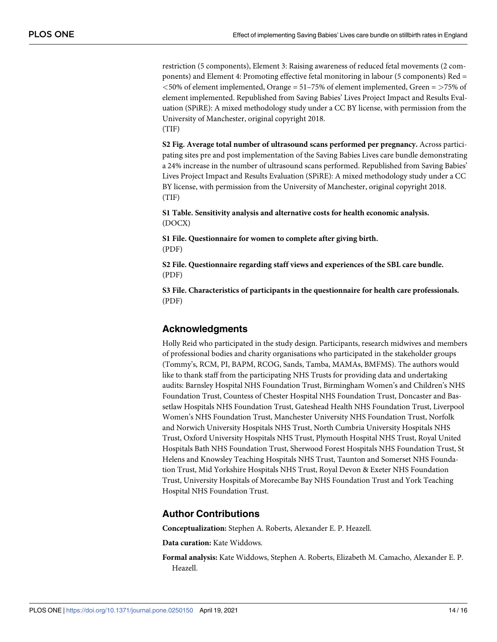<span id="page-13-0"></span>restriction (5 components), Element 3: Raising awareness of reduced fetal movements (2 components) and Element 4: Promoting effective fetal monitoring in labour (5 components) Red = *<*50% of element implemented, Orange = 51–75% of element implemented, Green = *>*75% of element implemented. Republished from Saving Babies' Lives Project Impact and Results Evaluation (SPiRE): A mixed methodology study under a CC BY license, with permission from the University of Manchester, original copyright 2018. (TIF)

**[S2 Fig](http://www.plosone.org/article/fetchSingleRepresentation.action?uri=info:doi/10.1371/journal.pone.0250150.s003). Average total number of ultrasound scans performed per pregnancy.** Across participating sites pre and post implementation of the Saving Babies Lives care bundle demonstrating a 24% increase in the number of ultrasound scans performed. Republished from Saving Babies' Lives Project Impact and Results Evaluation (SPiRE): A mixed methodology study under a CC BY license, with permission from the University of Manchester, original copyright 2018. (TIF)

**[S1 Table.](http://www.plosone.org/article/fetchSingleRepresentation.action?uri=info:doi/10.1371/journal.pone.0250150.s004) Sensitivity analysis and alternative costs for health economic analysis.** (DOCX)

**[S1 File.](http://www.plosone.org/article/fetchSingleRepresentation.action?uri=info:doi/10.1371/journal.pone.0250150.s005) Questionnaire for women to complete after giving birth.** (PDF)

**[S2 File.](http://www.plosone.org/article/fetchSingleRepresentation.action?uri=info:doi/10.1371/journal.pone.0250150.s006) Questionnaire regarding staff views and experiences of the SBL care bundle.** (PDF)

**[S3 File.](http://www.plosone.org/article/fetchSingleRepresentation.action?uri=info:doi/10.1371/journal.pone.0250150.s007) Characteristics of participants in the questionnaire for health care professionals.** (PDF)

## **Acknowledgments**

Holly Reid who participated in the study design. Participants, research midwives and members of professional bodies and charity organisations who participated in the stakeholder groups (Tommy's, RCM, PI, BAPM, RCOG, Sands, Tamba, MAMAs, BMFMS). The authors would like to thank staff from the participating NHS Trusts for providing data and undertaking audits: Barnsley Hospital NHS Foundation Trust, Birmingham Women's and Children's NHS Foundation Trust, Countess of Chester Hospital NHS Foundation Trust, Doncaster and Bassetlaw Hospitals NHS Foundation Trust, Gateshead Health NHS Foundation Trust, Liverpool Women's NHS Foundation Trust, Manchester University NHS Foundation Trust, Norfolk and Norwich University Hospitals NHS Trust, North Cumbria University Hospitals NHS Trust, Oxford University Hospitals NHS Trust, Plymouth Hospital NHS Trust, Royal United Hospitals Bath NHS Foundation Trust, Sherwood Forest Hospitals NHS Foundation Trust, St Helens and Knowsley Teaching Hospitals NHS Trust, Taunton and Somerset NHS Foundation Trust, Mid Yorkshire Hospitals NHS Trust, Royal Devon & Exeter NHS Foundation Trust, University Hospitals of Morecambe Bay NHS Foundation Trust and York Teaching Hospital NHS Foundation Trust.

## **Author Contributions**

**Conceptualization:** Stephen A. Roberts, Alexander E. P. Heazell.

**Data curation:** Kate Widdows.

**Formal analysis:** Kate Widdows, Stephen A. Roberts, Elizabeth M. Camacho, Alexander E. P. Heazell.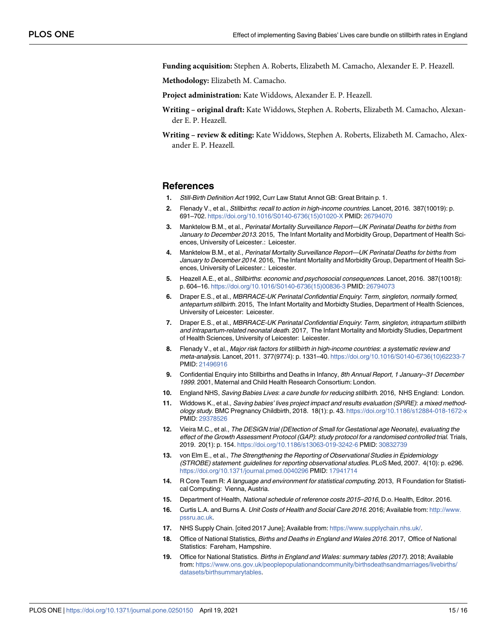<span id="page-14-0"></span>**Funding acquisition:** Stephen A. Roberts, Elizabeth M. Camacho, Alexander E. P. Heazell.

**Methodology:** Elizabeth M. Camacho.

**Project administration:** Kate Widdows, Alexander E. P. Heazell.

- **Writing original draft:** Kate Widdows, Stephen A. Roberts, Elizabeth M. Camacho, Alexander E. P. Heazell.
- **Writing review & editing:** Kate Widdows, Stephen A. Roberts, Elizabeth M. Camacho, Alexander E. P. Heazell.

#### **References**

- **[1](#page-1-0).** Still-Birth Definition Act 1992, Curr Law Statut Annot GB: Great Britain p. 1.
- **[2](#page-1-0).** Flenady V., et al., Stillbirths: recall to action in high-income countries. Lancet, 2016. 387(10019): p. 691–702. [https://doi.org/10.1016/S0140-6736\(15\)01020-X](https://doi.org/10.1016/S0140-6736%2815%2901020-X) PMID: [26794070](http://www.ncbi.nlm.nih.gov/pubmed/26794070)
- **[3](#page-1-0).** Manktelow B.M., et al., Perinatal Mortality Surveillance Report—UK Perinatal Deaths for births from January to December 2013. 2015, The Infant Mortality and Morbidity Group, Department of Health Sciences, University of Leicester.: Leicester.
- **[4](#page-1-0).** Manktelow B.M., et al., Perinatal Mortality Surveillance Report—UK Perinatal Deaths for births from January to December 2014. 2016, The Infant Mortality and Morbidity Group, Department of Health Sciences, University of Leicester.: Leicester.
- **[5](#page-1-0).** Heazell A.E., et al., Stillbirths: economic and psychosocial consequences. Lancet, 2016. 387(10018): p. 604–16. [https://doi.org/10.1016/S0140-6736\(15\)00836-3](https://doi.org/10.1016/S0140-6736%2815%2900836-3) PMID: [26794073](http://www.ncbi.nlm.nih.gov/pubmed/26794073)
- **[6](#page-1-0).** Draper E.S., et al., MBRRACE-UK Perinatal Confidential Enquiry: Term, singleton, normally formed, antepartum stillbirth. 2015, The Infant Mortality and Morbidty Studies, Department of Health Sciences, University of Leicester: Leicester.
- **[7](#page-1-0).** Draper E.S., et al., MBRRACE-UK Perinatal Confidential Enquiry: Term, singleton, intrapartum stillbirth and intrapartum-related neonatal death. 2017, The Infant Mortality and Morbidty Studies, Department of Health Sciences, University of Leicester: Leicester.
- **[8](#page-1-0).** Flenady V., et al., Major risk factors for stillbirth in high-income countries: a systematic review and meta-analysis. Lancet, 2011. 377(9774): p. 1331–40. [https://doi.org/10.1016/S0140-6736\(10\)62233-7](https://doi.org/10.1016/S0140-6736%2810%2962233-7) PMID: [21496916](http://www.ncbi.nlm.nih.gov/pubmed/21496916)
- **[9](#page-1-0).** Confidential Enquiry into Stillbirths and Deaths in Infancy, 8th Annual Report, 1 January–31 December 1999. 2001, Maternal and Child Health Research Consortium: London.
- **[10](#page-1-0).** England NHS, Saving Babies Lives: a care bundle for reducing stillbirth. 2016, NHS England: London.
- **[11](#page-1-0).** Widdows K., et al., Saving babies' lives project impact and results evaluation (SPiRE): a mixed methodology study. BMC Pregnancy Childbirth, 2018. 18(1): p. 43. <https://doi.org/10.1186/s12884-018-1672-x> PMID: [29378526](http://www.ncbi.nlm.nih.gov/pubmed/29378526)
- **[12](#page-2-0).** Vieira M.C., et al., The DESiGN trial (DEtection of Small for Gestational age Neonate), evaluating the effect of the Growth Assessment Protocol (GAP): study protocol for a randomised controlled trial. Trials, 2019. 20(1): p. 154. <https://doi.org/10.1186/s13063-019-3242-6> PMID: [30832739](http://www.ncbi.nlm.nih.gov/pubmed/30832739)
- **[13](#page-2-0).** von Elm E., et al., The Strengthening the Reporting of Observational Studies in Epidemiology (STROBE) statement: guidelines for reporting observational studies. PLoS Med, 2007. 4(10): p. e296. <https://doi.org/10.1371/journal.pmed.0040296> PMID: [17941714](http://www.ncbi.nlm.nih.gov/pubmed/17941714)
- **[14](#page-3-0).** R Core Team R: A language and environment for statistical computing. 2013, R Foundation for Statistical Computing: Vienna, Austria.
- **[15](#page-4-0).** Department of Health, National schedule of reference costs 2015–2016, D.o. Health, Editor. 2016.
- **[16](#page-4-0).** Curtis L.A. and Burns A. Unit Costs of Health and Social Care 2016. 2016; Available from: [http://www.](http://www.pssru.ac.uk) [pssru.ac.uk.](http://www.pssru.ac.uk)
- **[17](#page-4-0).** NHS Supply Chain. [cited 2017 June]; Available from: <https://www.supplychain.nhs.uk/>.
- **[18](#page-4-0).** Office of National Statistics, Births and Deaths in England and Wales 2016. 2017, Office of National Statistics: Fareham, Hampshire.
- **[19](#page-10-0).** Office for National Statistics. Births in England and Wales: summary tables (2017). 2018; Available from: [https://www.ons.gov.uk/peoplepopulationandcommunity/birthsdeathsandmarriages/livebirths/](https://www.ons.gov.uk/peoplepopulationandcommunity/birthsdeathsandmarriages/livebirths/datasets/birthsummarytables) [datasets/birthsummarytables](https://www.ons.gov.uk/peoplepopulationandcommunity/birthsdeathsandmarriages/livebirths/datasets/birthsummarytables).